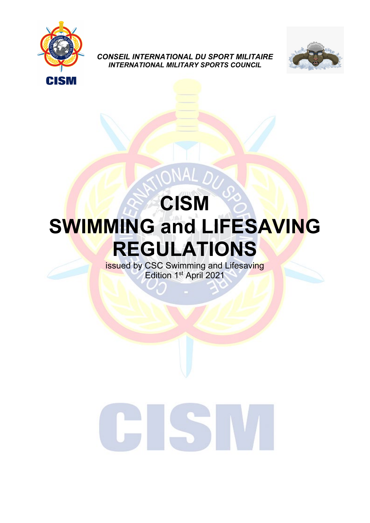

*CONSEIL INTERNATIONAL DU SPORT MILITAIRE INTERNATIONAL MILITARY SPORTS COUNCIL*



# **CISM SWIMMING and LIFESAVING REGULATIONS**

NAL

issued by CSC Swimming and Lifesaving Edition 1<sup>st</sup> April 2021

# $\overline{\phantom{1}}$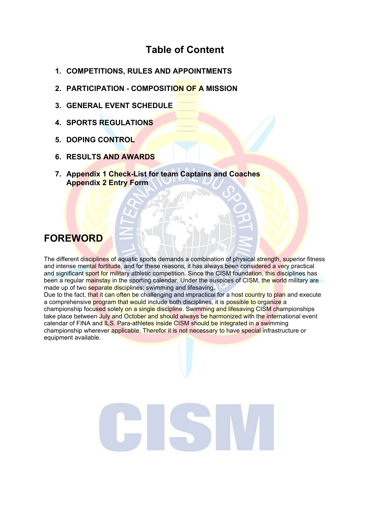# **Table of Content**

- **1. COMPETITIONS, RULES AND APPOINTMENTS**
- **2. PARTICIPATION - COMPOSITION OF A MISSION**
- **3. GENERAL EVENT SCHEDULE**
- **4. SPORTS REGULATIONS**
- **5. DOPING CONTROL**
- **6. RESULTS AND AWARDS**
- **7. Appendix 1 Check-List for team Captains and Coaches Appendix 2 Entry Form**

# **FOREWORD**

The different disciplines of aquatic sports demands a combination of physical strength, superior fitness and intense mental fortitude, and for these reasons, it has always been considered a very practical and significant sport for military athletic competition. Since the CISM foundation, this disciplines has been a regular mainstay in the sporting calendar. Under the auspices of CISM, the world military are made up of two separate disciplines: swimming and lifesaving.

Due to the fact, that it can often be challenging and impractical for a host country to plan and execute a comprehensive program that would include both disciplines, it is possible to organize a championship focused solely on a single discipline. Swimming and lifesaving CISM championships take place between July and October and should always be harmonized with the international event calendar of FINA and ILS. Para-athletes inside CISM should be integrated in a swimming championship [wherever](http://dict.leo.org/#/search=wherever&searchLoc=0&resultOrder=basic&multiwordShowSingle=on) [applicable.](http://dict.leo.org/#/search=applicable&searchLoc=0&resultOrder=basic&multiwordShowSingle=on) Therefor it is not necessary to have special infrastructure or equipment available.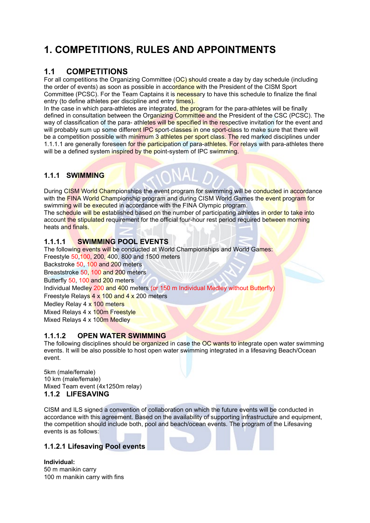# **1. COMPETITIONS, RULES AND APPOINTMENTS**

### **1.1 COMPETITIONS**

For all competitions the Organizing Committee (OC) should create a day by day schedule (including the order of events) as soon as possible in accordance with the President of the CISM Sport Committee (PCSC). For the Team Captains it is necessary to have this schedule to finalize the final entry (to define athletes per discipline and entry times).

In the case in which para-athletes are integrated, the program for the para-athletes will be finally defined in consultation between the Organizing Committee and the President of the CSC (PCSC). The way of classification of the para- athletes will be specified in the respective invitation for the event and will probably sum up some different IPC sport-classes in one sport-class to make sure that there will be a competition possible with minimum 3 athletes per sport class. The red marked disciplines under 1.1.1.1 are generally foreseen for the participation of para-athletes. For relays with para-athletes there will be a defined system inspired by the point-system of IPC swimming.

### **1.1.1 SWIMMING**

During CISM World Championships the event program for swimming will be conducted in accordance with the FINA World Championship program and during CISM World Games the event program for swimming will be executed in accordance with the FINA Olympic program.

The schedule will be established based on the number of participating athletes in order to take into account the stipulated requirement for the official four-hour rest period required between morning heats and finals.

### **1.1.1.1 SWIMMING POOL EVENTS**

The following events will be conducted at World Championships and World Games: Freestyle 50,100, 200, 400, 800 and 1500 meters

Backstroke 50, 100 and 200 meters

Breaststroke 50, 100 and 200 meters

Butterfly 50, 100 and 200 meters

Individual Medley 200 and 400 meters (or 150 m Individual Medley without Butterfly)

Freestyle Relays 4 x 100 and 4 x 200 meters

Medley Relay 4 x 100 meters

Mixed Relays 4 x 100m Freestyle

Mixed Relays 4 x 100m Medley

### **1.1.1.2 OPEN WATER SWIMMING**

The following disciplines should be organized in case the OC wants to integrate open water swimming events. It will be also possible to host open water swimming integrated in a lifesaving Beach/Ocean event.

5km (male/female) 10 km (male/female) Mixed Team event (4x1250m relay) **1.1.2 LIFESAVING** 

CISM and ILS signed a convention of collaboration on which the future events will be conducted in accordance with this agreement. Based on the availability of supporting infrastructure and equipment, the competition should include both, pool and beach/ocean events. The program of the Lifesaving events is as follows:

### **1.1.2.1 Lifesaving Pool events**

**Individual:**  50 m manikin carry 100 m manikin carry with fins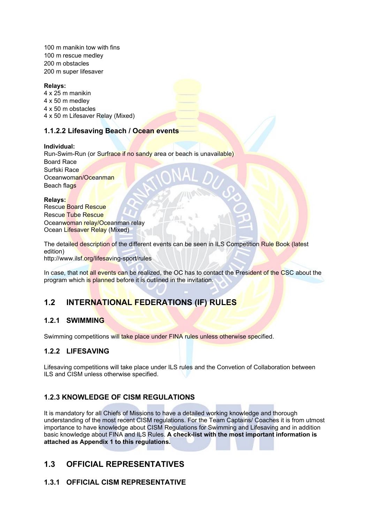100 m manikin tow with fins 100 m rescue medley 200 m obstacles 200 m super lifesaver

### **Relays:**

4 x 25 m manikin 4 x 50 m medley 4 x 50 m obstacles 4 x 50 m Lifesaver Relay (Mixed)

### **1.1.2.2 Lifesaving Beach / Ocean events**

### **Individual:**

Run-Swim-Run (or Surfrace if no sandy area or beach is unavailable) Board Race Surfski Race Oceanwoman/Oceanman Beach flags

### **Relays:**

Rescue Board Rescue Rescue Tube Rescue Oceanwoman relay/Oceanman relay Ocean Lifesaver Relay (Mixed)

The detailed description of the different events can be seen in ILS Competition Rule Book (latest edition)

http://www.ilsf.org/lifesaving-sport/rules

In case, that not all events can be realized, the OC has to contact the President of the CSC about the program which is planned before it is outlined in the invitation.

### **1.2 INTERNATIONAL FEDERATIONS (IF) RULES**

### **1.2.1 SWIMMING**

Swimming competitions will take place under FINA rules unless otherwise specified.

### **1.2.2 LIFESAVING**

Lifesaving competitions will take place under ILS rules and the Convetion of Collaboration between ILS and CISM unless otherwise specified.

### **1.2.3 KNOWLEDGE OF CISM REGULATIONS**

It is mandatory for all Chiefs of Missions to have a detailed working knowledge and thorough understanding of the most recent CISM regulations. For the Team Captains/ Coaches it is from utmost importance to have knowledge about CISM Regulations for Swimming and Lifesaving and in addition basic knowledge about FINA and ILS Rules. **A check-list with the most important information is attached as Appendix 1 to this regulations.**

### **1.3 OFFICIAL REPRESENTATIVES**

### **1.3.1 OFFICIAL CISM REPRESENTATIVE**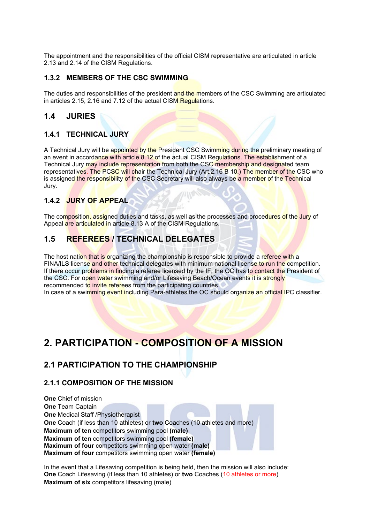The appointment and the responsibilities of the official CISM representative are articulated in article 2.13 and 2.14 of the CISM Regulations.

### **1.3.2 MEMBERS OF THE CSC SWIMMING**

The duties and responsibilities of the president and the members of the CSC Swimming are articulated in articles 2.15, 2.16 and 7.12 of the actual CISM Regulations.

### **1.4 JURIES**

### **1.4.1 TECHNICAL JURY**

A Technical Jury will be appointed by the President CSC Swimming during the preliminary meeting of an event in accordance with article 8.12 of the actual CISM Regulations. The establishment of a Technical Jury may include representation from both the CSC membership and designated team representatives. The PCSC will chair the Technical Jury (Art.2.16 B 10.) The member of the CSC who is assigned the responsibility of the CSC Secretary will also always be a member of the Technical Jury.

### **1.4.2 JURY OF APPEAL**

The composition, assigned duties and tasks, as well as the processes and procedures of the Jury of Appeal are articulated in article 8.13 A of the CISM Regulations.

### **1.5 REFEREES / TECHNICAL DELEGATES**

The host nation that is organizing the championship is responsible to provide a referee with a FINA/ILS license and other technical delegates with minimum national license to run the competition. If there occur problems in finding a referee licensed by the IF, the OC has to contact the President of the CSC. For open water swimming and/or Lifesaving Beach/Ocean events it is strongly recommended to invite referees from the participating countries.

In case of a swimming event including Para-athletes the OC should organize an official IPC classifier.

## **2. PARTICIPATION - COMPOSITION OF A MISSION**

### **2.1 PARTICIPATION TO THE CHAMPIONSHIP**

### **2.1.1 COMPOSITION OF THE MISSION**

**One** Chief of mission **One** Team Captain **One** Medical Staff /Physiotherapist **One** Coach (if less than 10 athletes) or **two** Coaches (10 athletes and more) **Maximum of ten** competitors swimming pool **(male) Maximum of ten** competitors swimming pool **(female) Maximum of four** competitors swimming open water **(male) Maximum of four** competitors swimming open water **(female)**

In the event that a Lifesaving competition is being held, then the mission will also include: **One** Coach Lifesaving (if less than 10 athletes) or **two** Coaches (10 athletes or more) **Maximum of six** competitors lifesaving (male)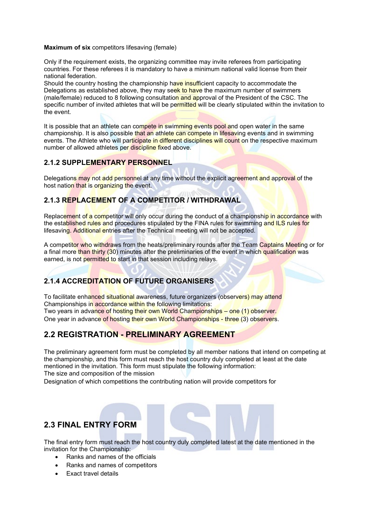### **Maximum of six** competitors lifesaving (female)

Only if the requirement exists, the organizing committee may invite referees from participating countries. For these referees it is mandatory to have a minimum national valid license from their national federation.

Should the country hosting the championship have insufficient capacity to accommodate the Delegations as established above, they may seek to have the maximum number of swimmers (male/female) reduced to 8 following consultation and approval of the President of the CSC. The specific number of invited athletes that will be permitted will be clearly stipulated within the invitation to the event.

It is possible that an athlete can compete in swimming events pool and open water in the same championship. It is also possible that an athlete can compete in lifesaving events and in swimming events. The Athlete who will participate in different disciplines will count on the respective maximum number of allowed athletes per discipline fixed above.

### **2.1.2 SUPPLEMENTARY PERSONNEL**

Delegations may not add personnel at any time without the explicit agreement and approval of the host nation that is organizing the event.

### **2.1.3 REPLACEMENT OF A COMPETITOR / WITHDRAWAL**

Replacement of a competitor will only occur during the conduct of a championship in accordance with the established rules and procedures stipulated by the FINA rules for swimming and ILS rules for lifesaving. Additional entries after the Technical meeting will not be accepted.

A competitor who withdraws from the heats/preliminary rounds after the Team Captains Meeting or for a final more than thirty (30) minutes after the preliminaries of the event in which qualification was earned, is not permitted to start in that session including relays.

### **2.1.4 ACCREDITATION OF FUTURE ORGANISERS**

To facilitate enhanced situational awareness, future organizers (observers) may attend Championships in accordance within the following limitations: Two years in advance of hosting their own World Championships – one (1) observer.

One year in advance of hosting their own World Championships - three (3) observers.

### **2.2 REGISTRATION - PRELIMINARY AGREEMENT**

The preliminary agreement form must be completed by all member nations that intend on competing at the championship, and this form must reach the host country duly completed at least at the date mentioned in the invitation. This form must stipulate the following information:

The size and composition of the mission

Designation of which competitions the contributing nation will provide competitors for

### **2.3 FINAL ENTRY FORM**

The final entry form must reach the host country duly completed latest at the date mentioned in the invitation for the Championship:

- Ranks and names of the officials
- Ranks and names of competitors
- Exact travel details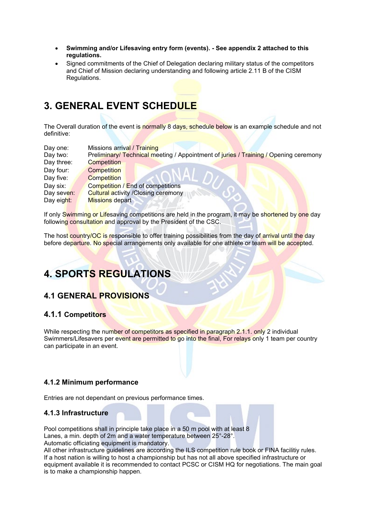- **Swimming and/or Lifesaving entry form (events). - See appendix 2 attached to this regulations.**
- Signed commitments of the Chief of Delegation declaring military status of the competitors and Chief of Mission declaring understanding and following article 2.11 B of the CISM Regulations.

# **3. GENERAL EVENT SCHEDULE**

The Overall duration of the event is normally 8 days, schedule below is an example schedule and not definitive:

| Day one:   | Missions arrival / Training                                                          |  |  |  |  |
|------------|--------------------------------------------------------------------------------------|--|--|--|--|
| Day two:   | Preliminary/ Technical meeting / Appointment of juries / Training / Opening ceremony |  |  |  |  |
| Day three: | <b>Competition</b>                                                                   |  |  |  |  |
| Day four:  | <b>Competition</b>                                                                   |  |  |  |  |
| Day five:  | <b>Competition</b>                                                                   |  |  |  |  |
| Day six:   | Competition / End of competitions                                                    |  |  |  |  |
| Day seven: | <b>Cultural activity / Closing ceremony</b>                                          |  |  |  |  |
| Day eight: | <b>Missions</b> depart                                                               |  |  |  |  |

If only Swimming or Lifesaving competitions are held in the program, it may be shortened by one day following consultation and approval by the President of the CSC.

The host country/OC is responsible to offer training possibilities from the day of arrival until the day before departure. No special arrangements only available for one athlete or team will be accepted.

# **4. SPORTS REGULATIONS**

### **4.1 GENERAL PROVISIONS**

### **4.1.1 Competitors**

While respecting the number of competitors as specified in paragraph 2.1.1. only 2 individual Swimmers/Lifesavers per event are permitted to go into the final, For relays only 1 team per country can participate in an event.

### **4.1.2 Minimum performance**

Entries are not dependant on previous performance times.

### **4.1.3 Infrastructure**

Pool competitions shall in principle take place in a 50 m pool with at least 8 Lanes, a min. depth of 2m and a water temperature between 25°-28°. Automatic officiating equipment is mandatory.

All other infrastructure guidelines are according the ILS competition rule book or FINA facilitiy rules. If a host nation is willing to host a championship but has not all above specified infrastructure or equipment available it is recommended to contact PCSC or CISM HQ for negotiations. The main goal is to make a championship happen.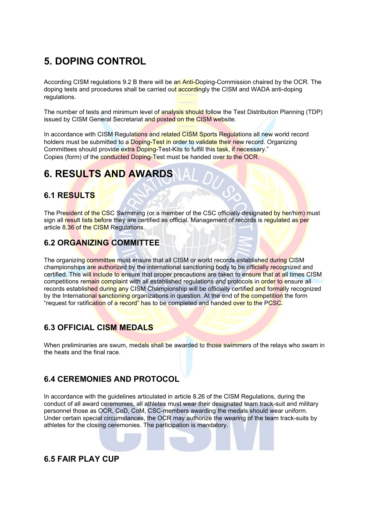# **5. DOPING CONTROL**

According CISM regulations 9.2 B there will be an Anti-Doping-Commission chaired by the OCR. The doping tests and procedures shall be carried out accordingly the CISM and WADA anti-doping regulations.

The number of tests and minimum level of analysis should follow the Test Distribution Planning (TDP) issued by CISM General Secretariat and posted on the CISM website.

In accordance with CISM Regulations and related CISM Sports Regulations all new world record holders must be submitted to a Doping-Test in order to validate their new record. Organizing Committees should provide extra Doping-Test-Kits to fulfill this task, if necessary." Copies (form) of the conducted Doping-Test must be handed over to the OCR.

# **6. RESULTS AND AWARDS**

### **6.1 RESULTS**

The President of the CSC Swimming (or a member of the CSC officially designated by her/him) must sign all result lists before they are certified as official. Management of records is regulated as per article 8.36 of the CISM Regulations.

### **6.2 ORGANIZING COMMITTEE**

The organizing committee must ensure that all CISM or world records established during CISM championships are authorized by the international sanctioning body to be officially recognized and certified. This will include to ensure that proper precautions are taken to ensure that at all times CISM competitions remain complaint with all established regulations and protocols in order to ensure all records established during any CISM Championship will be officially certified and formally recognized by the International sanctioning organizations in question. At the end of the competition the form "request for ratification of a record" has to be completed and handed over to the PCSC.

### **6.3 OFFICIAL CISM MEDALS**

When preliminaries are swum, medals shall be awarded to those swimmers of the relays who swam in the heats and the final race.

### **6.4 CEREMONIES AND PROTOCOL**

In accordance with the guidelines articulated in article 8.26 of the CISM Regulations, during the conduct of all award ceremonies, all athletes must wear their designated team track-suit and military personnel those as OCR, CoD, CoM, CSC-members awarding the medals should wear uniform. Under certain special circumstances, the OCR may authorize the wearing of the team track-suits by athletes for the closing ceremonies. The participation is mandatory.

### **6.5 FAIR PLAY CUP**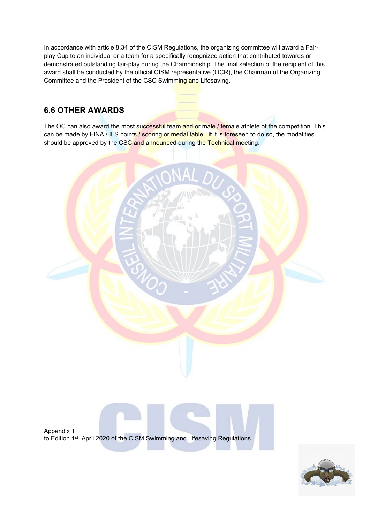In accordance with article 8.34 of the CISM Regulations, the organizing committee will award a Fairplay Cup to an individual or a team for a specifically recognized action that contributed towards or demonstrated outstanding fair-play during the Championship. The final selection of the recipient of this award shall be conducted by the official CISM representative (OCR), the Chairman of the Organizing Committee and the President of the CSC Swimming and Lifesaving.

### **6.6 OTHER AWARDS**

The OC can also award the most successful team and or male / female athlete of the competition. This can be made by FINA / ILS points / scoring or medal table. If it is foreseen to do so, the modalities should be approved by the CSC and announced during the Technical meeting.



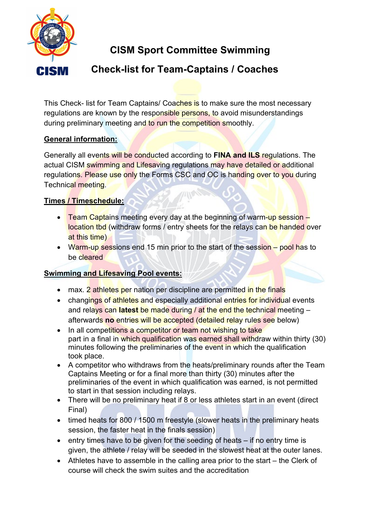

# **CISM Sport Committee Swimming**

# **Check-list for Team-Captains / Coaches**

This Check- list for Team Captains/ Coaches is to make sure the most necessary regulations are known by the responsible persons, to avoid misunderstandings during preliminary meeting and to run the competition smoothly.

### **General information:**

Generally all events will be conducted according to **FINA and ILS** regulations. The actual CISM swimming and Lifesaving regulations may have detailed or additional regulations. Please use only the Forms CSC and OC is handing over to you during Technical meeting.

### **Times / Timeschedule:**

- Team Captains meeting every day at the beginning of warm-up session location tbd (withdraw forms / entry sheets for the relays can be handed over at this time)
- Warm-up sessions end 15 min prior to the start of the session pool has to be cleared

### **Swimming and Lifesaving Pool events:**

- max. 2 athletes per nation per discipline are permitted in the finals
- changings of athletes and especially additional entries for individual events and relays can **latest** be made during / at the end the technical meeting – afterwards **no** entries will be accepted (detailed relay rules see below)
- In all competitions a competitor or team not wishing to take part in a final in which qualification was earned shall withdraw within thirty (30) minutes following the preliminaries of the event in which the qualification took place.
- A competitor who withdraws from the heats/preliminary rounds after the Team Captains Meeting or for a final more than thirty (30) minutes after the preliminaries of the event in which qualification was earned, is not permitted to start in that session including relays.
- There will be no preliminary heat if 8 or less athletes start in an event (direct Final)
- timed heats for 800 / 1500 m freestyle (slower heats in the preliminary heats session, the faster heat in the finals session)
- entry times have to be given for the seeding of heats if no entry time is given, the athlete / relay will be seeded in the slowest heat at the outer lanes.
- Athletes have to assemble in the calling area prior to the start the Clerk of course will check the swim suites and the accreditation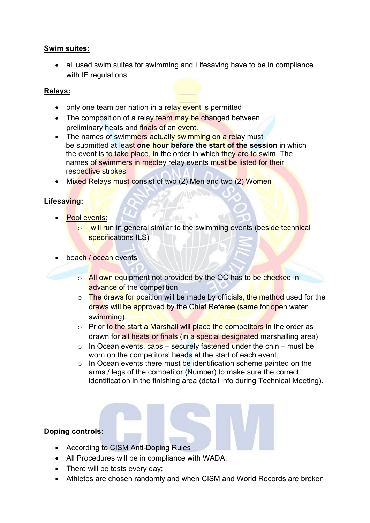### **Swim suites:**

• all used swim suites for swimming and Lifesaving have to be in compliance with IF regulations

### **Relays:**

- only one team per nation in a relay event is permitted
- The composition of a relay team may be changed between preliminary heats and finals of an event.
- The names of swimmers actually swimming on a relay must be submitted at least **one hour before the start of the session** in which the event is to take place, in the order in which they are to swim. The names of swimmers in medley relay events must be listed for their respective strokes
- Mixed Relays must consist of two (2) Men and two (2) Women

### **Lifesaving:**

- Pool events:
	- o will run in general similar to the swimming events (beside technical specifications ILS)
- beach / ocean events
	- o All own equipment not provided by the OC has to be checked in advance of the competition
	- $\circ$  The draws for position will be made by officials, the method used for the draws will be approved by the Chief Referee (same for open water swimming).
	- o Prior to the start a Marshall will place the competitors in the order as drawn for all heats or finals (in a special designated marshalling area)
	- $\circ$  In Ocean events, caps securely fastened under the chin must be worn on the competitors' heads at the start of each event.
	- $\circ$  In Ocean events there must be identification scheme painted on the arms / legs of the competitor (Number) to make sure the correct identification in the finishing area (detail info during Technical Meeting).

### **Doping controls:**

- According to CISM Anti-Doping Rules
- All Procedures will be in compliance with WADA;
- There will be tests every day;
- Athletes are chosen randomly and when CISM and World Records are broken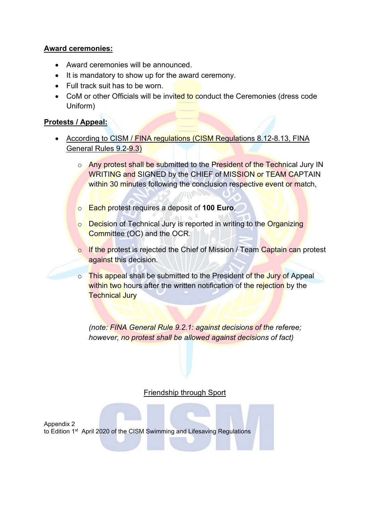### **Award ceremonies:**

- Award ceremonies will be announced.
- It is mandatory to show up for the award ceremony.
- Full track suit has to be worn.
- CoM or other Officials will be invited to conduct the Ceremonies (dress code Uniform)

### **Protests / Appeal:**

- According to CISM / FINA regulations (CISM Regulations 8.12-8.13, FINA General Rules 9.2-9.3)
	- o Any protest shall be submitted to the President of the Technical Jury IN WRITING and SIGNED by the CHIEF of MISSION or TEAM CAPTAIN within 30 minutes following the conclusion respective event or match,
	- o Each protest requires a deposit of **100 Euro**,
	- o **Decision of Technical Jury is reported in writing to the Organizing** Committee (OC) and the OCR.
	- o If the protest is rejected the Chief of Mission / Team Captain can protest against this decision.
	- $\circ$  This appeal shall be submitted to the President of the Jury of Appeal within two hours after the written notification of the rejection by the **Technical Jury**

*(note: FINA General Rule 9.2.1: against decisions of the referee; however, no protest shall be allowed against decisions of fact)*

### Friendship through Sport

Appendix 2 to Edition 1<sup>st</sup> April 2020 of the CISM Swimming and Lifesaving Regulations